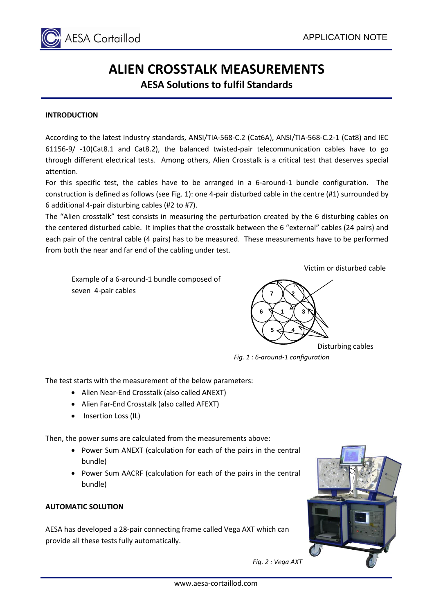

# **ALIEN CROSSTALK MEASUREMENTS**

**AESA Solutions to fulfil Standards**

#### **INTRODUCTION**

According to the latest industry standards, ANSI/TIA-568-C.2 (Cat6A), ANSI/TIA-568-C.2-1 (Cat8) and IEC 61156-9/ -10(Cat8.1 and Cat8.2), the balanced twisted-pair telecommunication cables have to go through different electrical tests. Among others, Alien Crosstalk is a critical test that deserves special attention.

For this specific test, the cables have to be arranged in a 6-around-1 bundle configuration. The construction is defined as follows (see Fig. 1): one 4-pair disturbed cable in the centre (#1) surrounded by 6 additional 4-pair disturbing cables (#2 to #7).

The "Alien crosstalk" test consists in measuring the perturbation created by the 6 disturbing cables on the centered disturbed cable. It implies that the crosstalk between the 6 "external" cables (24 pairs) and each pair of the central cable (4 pairs) has to be measured. These measurements have to be performed from both the near and far end of the cabling under test.

Example of a 6-around-1 bundle composed of seven 4-pair cables



Disturbing cables

Victim or disturbed cable

*Fig. 1 : 6-around-1 configuration*

The test starts with the measurement of the below parameters:

- Alien Near-End Crosstalk (also called ANEXT)
- Alien Far-End Crosstalk (also called AFEXT)
- Insertion Loss (IL)

Then, the power sums are calculated from the measurements above:

- Power Sum ANEXT (calculation for each of the pairs in the central bundle)
- Power Sum AACRF (calculation for each of the pairs in the central bundle)

## **AUTOMATIC SOLUTION**

AESA has developed a 28-pair connecting frame called Vega AXT which can provide all these tests fully automatically.



*Fig. 2 : Vega AXT*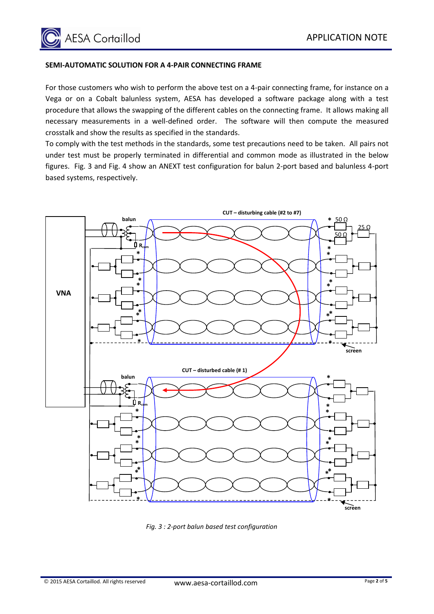

#### **SEMI-AUTOMATIC SOLUTION FOR A 4-PAIR CONNECTING FRAME**

For those customers who wish to perform the above test on a 4-pair connecting frame, for instance on a Vega or on a Cobalt balunless system, AESA has developed a software package along with a test procedure that allows the swapping of the different cables on the connecting frame. It allows making all necessary measurements in a well-defined order. The software will then compute the measured crosstalk and show the results as specified in the standards.

To comply with the test methods in the standards, some test precautions need to be taken. All pairs not under test must be properly terminated in differential and common mode as illustrated in the below figures. Fig. 3 and Fig. 4 show an ANEXT test configuration for balun 2-port based and balunless 4-port based systems, respectively.



*Fig. 3 : 2-port balun based test configuration*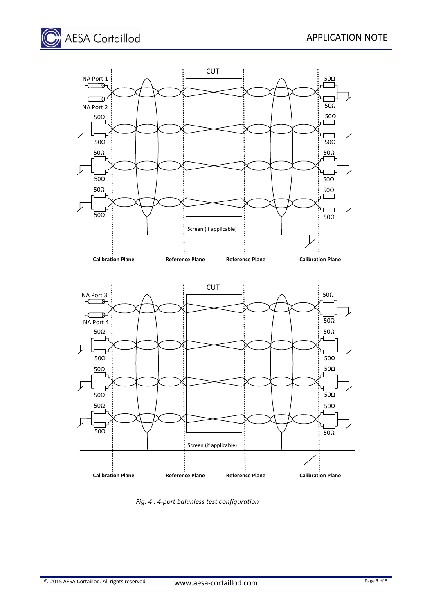



*Fig. 4 : 4-port balunless test configuration*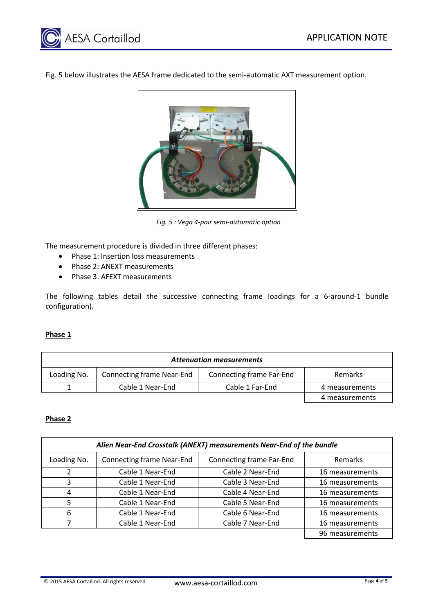

Fig. 5 below illustrates the AESA frame dedicated to the semi-automatic AXT measurement option.



*Fig. 5 : Vega 4-pair semi-automatic option*

The measurement procedure is divided in three different phases:

- Phase 1: Insertion loss measurements
- Phase 2: ANEXT measurements
- Phase 3: AFEXT measurements

The following tables detail the successive connecting frame loadings for a 6-around-1 bundle configuration).

#### **Phase 1**

| <b>Attenuation measurements</b> |                                  |                                 |                |
|---------------------------------|----------------------------------|---------------------------------|----------------|
| Loading No.                     | <b>Connecting frame Near-End</b> | <b>Connecting frame Far-End</b> | <b>Remarks</b> |
|                                 | Cable 1 Near-End                 | Cable 1 Far-End                 | 4 measurements |
|                                 |                                  |                                 | 4 measurements |

### **Phase 2**

| Alien Near-End Crosstalk (ANEXT) measurements Near-End of the bundle |                                  |                          |                 |
|----------------------------------------------------------------------|----------------------------------|--------------------------|-----------------|
| Loading No.                                                          | <b>Connecting frame Near-End</b> | Connecting frame Far-End | <b>Remarks</b>  |
|                                                                      | Cable 1 Near-End                 | Cable 2 Near-End         | 16 measurements |
| 3                                                                    | Cable 1 Near-End                 | Cable 3 Near-End         | 16 measurements |
| 4                                                                    | Cable 1 Near-End                 | Cable 4 Near-End         | 16 measurements |
| 5                                                                    | Cable 1 Near-End                 | Cable 5 Near-End         | 16 measurements |
| 6                                                                    | Cable 1 Near-End                 | Cable 6 Near-End         | 16 measurements |
|                                                                      | Cable 1 Near-End                 | Cable 7 Near-End         | 16 measurements |
|                                                                      |                                  |                          | 96 measurements |